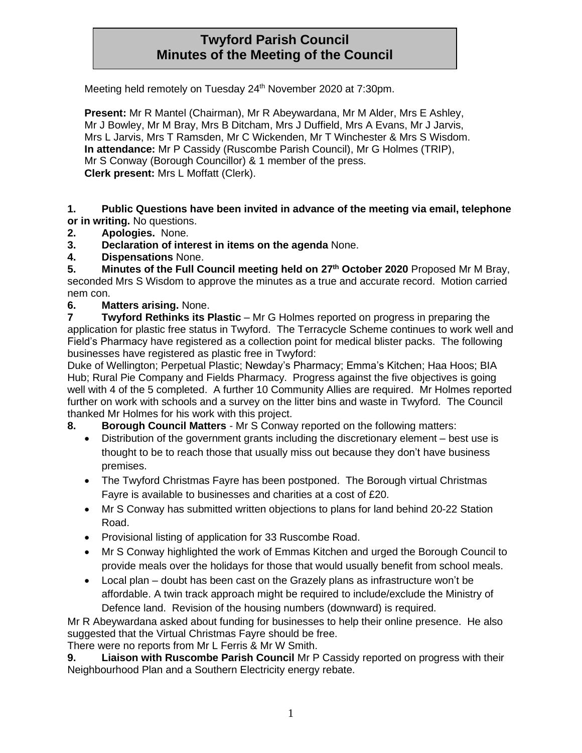# **Twyford Parish Council Minutes of the Meeting of the Council**

Meeting held remotely on Tuesday 24<sup>th</sup> November 2020 at 7:30pm.

**Present:** Mr R Mantel (Chairman), Mr R Abeywardana, Mr M Alder, Mrs E Ashley, Mr J Bowley, Mr M Bray, Mrs B Ditcham, Mrs J Duffield, Mrs A Evans, Mr J Jarvis, Mrs L Jarvis, Mrs T Ramsden, Mr C Wickenden, Mr T Winchester & Mrs S Wisdom. **In attendance:** Mr P Cassidy (Ruscombe Parish Council), Mr G Holmes (TRIP), Mr S Conway (Borough Councillor) & 1 member of the press. **Clerk present:** Mrs L Moffatt (Clerk).

**1. Public Questions have been invited in advance of the meeting via email, telephone or in writing.** No questions.

- **2. Apologies.** None.
- **3. Declaration of interest in items on the agenda** None.
- **4. Dispensations** None.

**5. Minutes of the Full Council meeting held on 27th October 2020** Proposed Mr M Bray, seconded Mrs S Wisdom to approve the minutes as a true and accurate record. Motion carried nem con.

#### **6. Matters arising.** None.

**7 Twyford Rethinks its Plastic** – Mr G Holmes reported on progress in preparing the application for plastic free status in Twyford. The Terracycle Scheme continues to work well and Field's Pharmacy have registered as a collection point for medical blister packs. The following businesses have registered as plastic free in Twyford:

Duke of Wellington; Perpetual Plastic; Newday's Pharmacy; Emma's Kitchen; Haa Hoos; BIA Hub; Rural Pie Company and Fields Pharmacy. Progress against the five objectives is going well with 4 of the 5 completed. A further 10 Community Allies are required. Mr Holmes reported further on work with schools and a survey on the litter bins and waste in Twyford. The Council thanked Mr Holmes for his work with this project.

**8. Borough Council Matters** - Mr S Conway reported on the following matters:

- Distribution of the government grants including the discretionary element best use is thought to be to reach those that usually miss out because they don't have business premises.
- The Twyford Christmas Fayre has been postponed. The Borough virtual Christmas Fayre is available to businesses and charities at a cost of £20.
- Mr S Conway has submitted written objections to plans for land behind 20-22 Station Road.
- Provisional listing of application for 33 Ruscombe Road.
- Mr S Conway highlighted the work of Emmas Kitchen and urged the Borough Council to provide meals over the holidays for those that would usually benefit from school meals.
- Local plan doubt has been cast on the Grazely plans as infrastructure won't be affordable. A twin track approach might be required to include/exclude the Ministry of Defence land. Revision of the housing numbers (downward) is required.

Mr R Abeywardana asked about funding for businesses to help their online presence. He also suggested that the Virtual Christmas Fayre should be free.

There were no reports from Mr L Ferris & Mr W Smith.

**9. Liaison with Ruscombe Parish Council** Mr P Cassidy reported on progress with their Neighbourhood Plan and a Southern Electricity energy rebate.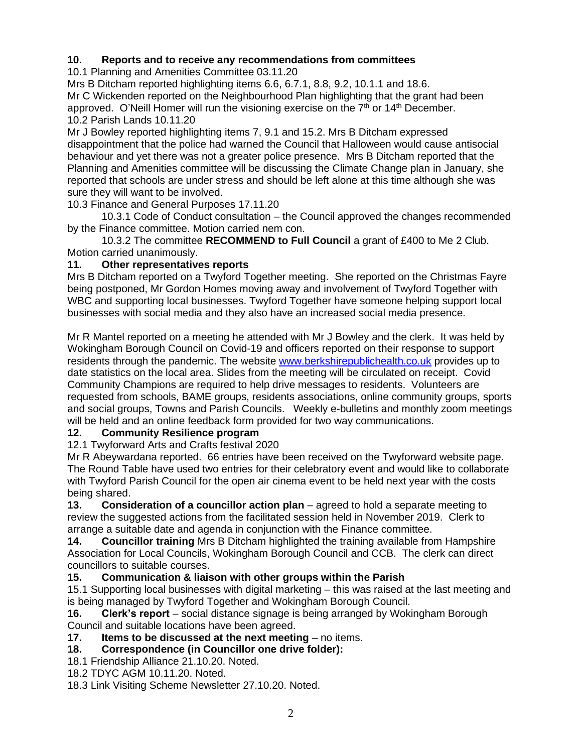## **10. Reports and to receive any recommendations from committees**

10.1 Planning and Amenities Committee 03.11.20

Mrs B Ditcham reported highlighting items 6.6, 6.7.1, 8.8, 9.2, 10.1.1 and 18.6. Mr C Wickenden reported on the Neighbourhood Plan highlighting that the grant had been approved. O'Neill Homer will run the visioning exercise on the  $7<sup>th</sup>$  or  $14<sup>th</sup>$  December. 10.2 Parish Lands 10.11.20

Mr J Bowley reported highlighting items 7, 9.1 and 15.2. Mrs B Ditcham expressed disappointment that the police had warned the Council that Halloween would cause antisocial behaviour and yet there was not a greater police presence. Mrs B Ditcham reported that the Planning and Amenities committee will be discussing the Climate Change plan in January, she reported that schools are under stress and should be left alone at this time although she was sure they will want to be involved.

10.3 Finance and General Purposes 17.11.20

10.3.1 Code of Conduct consultation – the Council approved the changes recommended by the Finance committee. Motion carried nem con.

10.3.2 The committee **RECOMMEND to Full Council** a grant of £400 to Me 2 Club. Motion carried unanimously.

## **11. Other representatives reports**

Mrs B Ditcham reported on a Twyford Together meeting. She reported on the Christmas Fayre being postponed, Mr Gordon Homes moving away and involvement of Twyford Together with WBC and supporting local businesses. Twyford Together have someone helping support local businesses with social media and they also have an increased social media presence.

Mr R Mantel reported on a meeting he attended with Mr J Bowley and the clerk. It was held by Wokingham Borough Council on Covid-19 and officers reported on their response to support residents through the pandemic. The website [www.berkshirepublichealth.co.uk](http://www.berkshirepublichealth.co.uk/) provides up to date statistics on the local area. Slides from the meeting will be circulated on receipt. Covid Community Champions are required to help drive messages to residents. Volunteers are requested from schools, BAME groups, residents associations, online community groups, sports and social groups, Towns and Parish Councils. Weekly e-bulletins and monthly zoom meetings will be held and an online feedback form provided for two way communications.

## **12. Community Resilience program**

12.1 Twyforward Arts and Crafts festival 2020

Mr R Abeywardana reported. 66 entries have been received on the Twyforward website page. The Round Table have used two entries for their celebratory event and would like to collaborate with Twyford Parish Council for the open air cinema event to be held next year with the costs being shared.

**13. Consideration of a councillor action plan** – agreed to hold a separate meeting to review the suggested actions from the facilitated session held in November 2019. Clerk to arrange a suitable date and agenda in conjunction with the Finance committee.

**14. Councillor training** Mrs B Ditcham highlighted the training available from Hampshire Association for Local Councils, Wokingham Borough Council and CCB. The clerk can direct councillors to suitable courses.

## **15. Communication & liaison with other groups within the Parish**

15.1 Supporting local businesses with digital marketing – this was raised at the last meeting and is being managed by Twyford Together and Wokingham Borough Council.

**16. Clerk's report** – social distance signage is being arranged by Wokingham Borough Council and suitable locations have been agreed.

**17. Items to be discussed at the next meeting** – no items.

## **18. Correspondence (in Councillor one drive folder):**

18.1 Friendship Alliance 21.10.20. Noted.

18.2 TDYC AGM 10.11.20. Noted.

18.3 Link Visiting Scheme Newsletter 27.10.20. Noted.